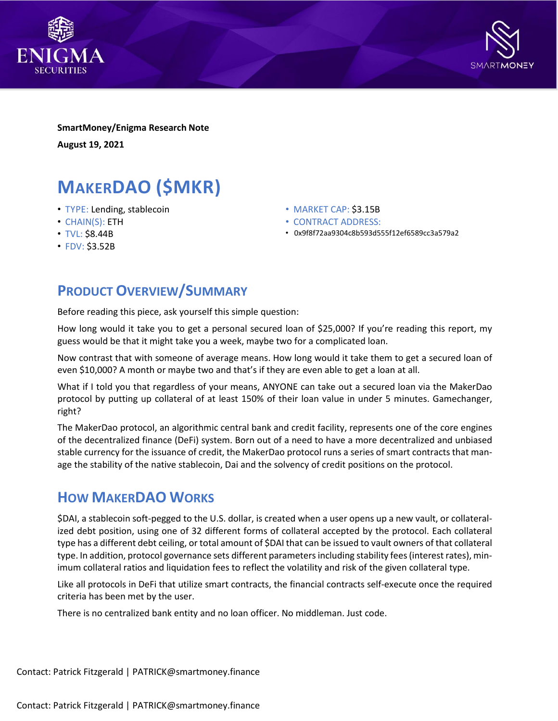



**SmartMoney/Enigma Research Note August 19, 2021**

# **MAKERDAO (\$MKR)**

- TYPE: Lending, stablecoin
- CHAIN(S): ETH
- TVL: \$8.44B
- FDV: \$3.52B
- MARKET CAP: \$3.15B
- CONTRACT ADDRESS:
- 0x9f8f72aa9304c8b593d555f12ef6589cc3a579a2

## **PRODUCT OVERVIEW/SUMMARY**

Before reading this piece, ask yourself this simple question:

How long would it take you to get a personal secured loan of \$25,000? If you're reading this report, my guess would be that it might take you a week, maybe two for a complicated loan.

Now contrast that with someone of average means. How long would it take them to get a secured loan of even \$10,000? A month or maybe two and that's if they are even able to get a loan at all.

What if I told you that regardless of your means, ANYONE can take out a secured loan via the MakerDao protocol by putting up collateral of at least 150% of their loan value in under 5 minutes. Gamechanger, right?

The MakerDao protocol, an algorithmic central bank and credit facility, represents one of the core engines of the decentralized finance (DeFi) system. Born out of a need to have a more decentralized and unbiased stable currency for the issuance of credit, the MakerDao protocol runs a series ofsmart contracts that manage the stability of the native stablecoin, Dai and the solvency of credit positions on the protocol.

### **HOW MAKERDAO WORKS**

\$DAI, a stablecoin soft-pegged to the U.S. dollar, is created when a user opens up a new vault, or collateralized debt position, using one of 32 different forms of collateral accepted by the protocol. Each collateral type has a different debt ceiling, or total amount of \$DAI that can be issued to vault owners of that collateral type. In addition, protocol governance sets different parametersincluding stability fees(interest rates), minimum collateral ratios and liquidation fees to reflect the volatility and risk of the given collateral type.

Like all protocols in DeFi that utilize smart contracts, the financial contracts self-execute once the required criteria has been met by the user.

There is no centralized bank entity and no loan officer. No middleman. Just code.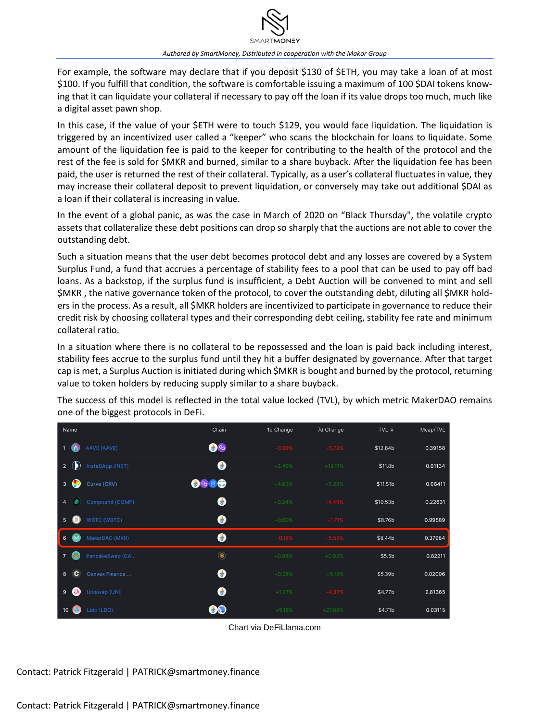

For example, the software may declare that if you deposit \$130 of \$ETH, you may take a loan of at most \$100. If you fulfill that condition, the software is comfortable issuing a maximum of 100 \$DAI tokens knowing that it can liquidate your collateral if necessary to pay off the loan if its value drops too much, much like a digital asset pawn shop.

In this case, if the value of your \$ETH were to touch \$129, you would face liquidation. The liquidation is triggered by an incentivized user called a "keeper" who scans the blockchain for loans to liquidate. Some amount of the liquidation fee is paid to the keeper for contributing to the health of the protocol and the rest of the fee is sold for \$MKR and burned, similar to a share buyback. After the liquidation fee has been paid, the user is returned the rest of their collateral. Typically, as a user's collateral fluctuates in value, they may increase their collateral deposit to prevent liquidation, or conversely may take out additional \$DAI as a loan if their collateral is increasing in value.

In the event of a global panic, as was the case in March of 2020 on "Black Thursday", the volatile crypto assets that collateralize these debt positions can drop so sharply that the auctions are not able to cover the outstanding debt.

Such a situation means that the user debt becomes protocol debt and any losses are covered by a System Surplus Fund, a fund that accrues a percentage of stability fees to a pool that can be used to pay off bad loans. As a backstop, if the surplus fund is insufficient, a Debt Auction will be convened to mint and sell \$MKR , the native governance token of the protocol, to cover the outstanding debt, diluting all \$MKR holders in the process. As a result, all \$MKR holders are incentivized to participate in governance to reduce their credit risk by choosing collateral types and their corresponding debt ceiling, stability fee rate and minimum collateral ratio.

In a situation where there is no collateral to be repossessed and the loan is paid back including interest, stability fees accrue to the surplus fund until they hit a buffer designated by governance. After that target cap is met, a Surplus Auction is initiated during which \$MKR is bought and burned by the protocol, returning value to token holders by reducing supply similar to a share buyback.

| Name                               | Chain                            | 1d Change | 7d Change | TVL $\downarrow$   | Mcap/TVL |
|------------------------------------|----------------------------------|-----------|-----------|--------------------|----------|
| AAVE (AAVE)                        | $\bullet$                        | $-0.39%$  | $-5.73%$  | \$12.64b           | 0.39158  |
| InstaDApp (INST)<br>$\mathbf{2}$   | $\bullet$                        | $+2.40%$  | $+19.11%$ | \$11.8b            | 0.01134  |
| Curve (CRV)<br>3                   | $\bigcirc$ 80                    | $+4.63%$  | $+5.28%$  | \$11.51b           | 0.06411  |
| $\overline{a}$                     | $\bullet$<br>Compound (COMP)     | $+0.34%$  | $-4.49%$  | \$10.53b           | 0.22631  |
| <b>WBTC (WBTC)</b><br>5            | $\bullet$                        | $+0.60%$  | $-1.71%$  | \$8.76b            | 0.99589  |
| MakerDAO (MKR)<br>6<br><b>IN4</b>  | $\bullet$                        | $-0.18%$  | $-5.55%$  | \$8.44b            | 0.37984  |
| <b>ALL</b><br>$7\overline{ }$      | $\circledast$<br>PancakeSwap (CA | $+0.98%$  | $+0.03%$  | \$5.5 <sub>b</sub> | 0.82211  |
| c<br>8                             | $\bullet$<br>Convex Finance      | $+0.28%$  | $+5.18%$  | \$5.39b            | 0.02006  |
| Uniswap (UNI)<br>9<br><b>C</b>     | $\bullet$                        | $+1.27%$  | $-4.37%$  | \$4.77b            | 2.81365  |
| Lido (LDO)<br>10 <sup>°</sup><br>œ | 90                               | $+9.18%$  | $+27.69%$ | \$4.71b            | 0.03115  |

The success of this model is reflected in the total value locked (TVL), by which metric MakerDAO remains one of the biggest protocols in DeFi.

Chart via DeFiLlama.com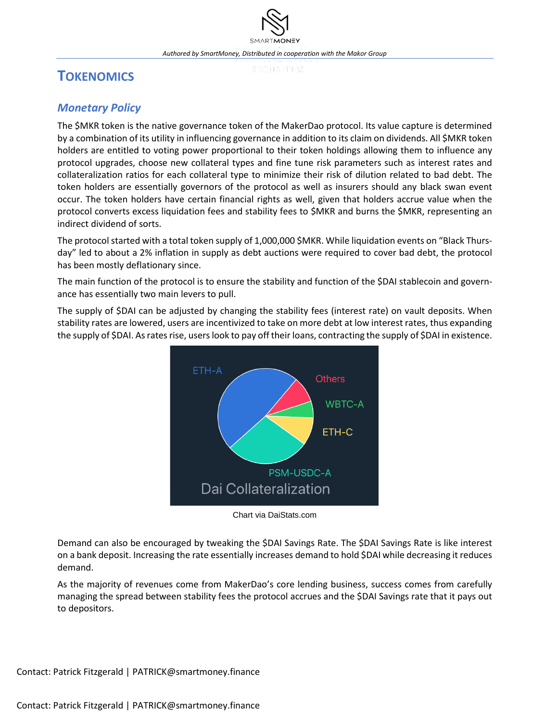# **TOKENOMICS**

### *Monetary Policy*

The \$MKR token is the native governance token of the MakerDao protocol. Its value capture is determined by a combination of its utility in influencing governance in addition to its claim on dividends. All \$MKR token holders are entitled to voting power proportional to their token holdings allowing them to influence any protocol upgrades, choose new collateral types and fine tune risk parameters such as interest rates and collateralization ratios for each collateral type to minimize their risk of dilution related to bad debt. The token holders are essentially governors of the protocol as well as insurers should any black swan event occur. The token holders have certain financial rights as well, given that holders accrue value when the protocol converts excess liquidation fees and stability fees to \$MKR and burns the \$MKR, representing an indirect dividend of sorts.

The protocol started with a total token supply of 1,000,000 \$MKR. While liquidation events on "Black Thursday" led to about a 2% inflation in supply as debt auctions were required to cover bad debt, the protocol has been mostly deflationary since.

The main function of the protocol is to ensure the stability and function of the \$DAI stablecoin and governance has essentially two main levers to pull.

The supply of \$DAI can be adjusted by changing the stability fees (interest rate) on vault deposits. When stability rates are lowered, users are incentivized to take on more debt at low interest rates, thus expanding the supply of \$DAI. As rates rise, users look to pay off their loans, contracting the supply of \$DAI in existence.



Chart via DaiStats.com

Demand can also be encouraged by tweaking the \$DAI Savings Rate. The \$DAI Savings Rate is like interest on a bank deposit. Increasing the rate essentially increases demand to hold \$DAI while decreasing it reduces demand.

As the majority of revenues come from MakerDao's core lending business, success comes from carefully managing the spread between stability fees the protocol accrues and the \$DAI Savings rate that it pays out to depositors.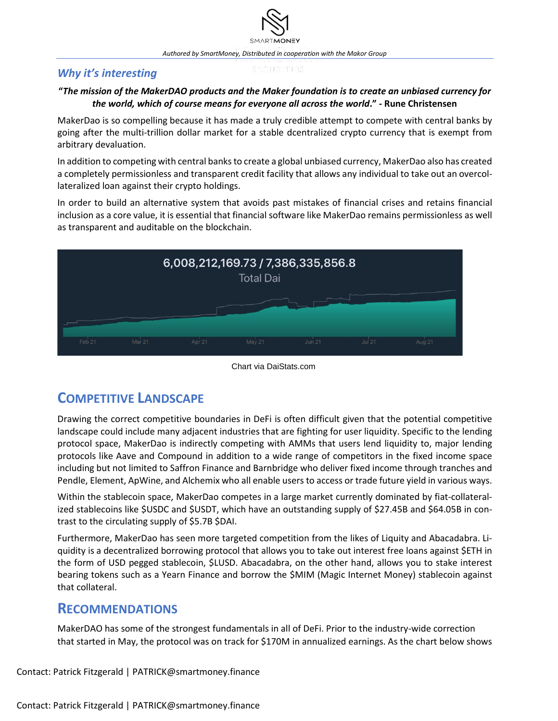### *Why it's interesting*

#### "The mission of the MakerDAO products and the Maker foundation is to create an unbiased currency for *the world, which of course means for everyone all across the world***." - Rune Christensen**

MakerDao is so compelling because it has made a truly credible attempt to compete with central banks by going after the multi-trillion dollar market for a stable dcentralized crypto currency that is exempt from arbitrary devaluation.

In addition to competing with central banksto create a global unbiased currency, MakerDao also has created a completely permissionless and transparent credit facility that allows any individual to take out an overcollateralized loan against their crypto holdings.

In order to build an alternative system that avoids past mistakes of financial crises and retains financial inclusion as a core value, it is essential that financial software like MakerDao remains permissionless as well as transparent and auditable on the blockchain.



#### Chart via DaiStats.com

# **COMPETITIVE LANDSCAPE**

Drawing the correct competitive boundaries in DeFi is often difficult given that the potential competitive landscape could include many adjacent industries that are fighting for user liquidity. Specific to the lending protocol space, MakerDao is indirectly competing with AMMs that users lend liquidity to, major lending protocols like Aave and Compound in addition to a wide range of competitors in the fixed income space including but not limited to Saffron Finance and Barnbridge who deliver fixed income through tranches and Pendle, Element, ApWine, and Alchemix who all enable users to access or trade future yield in various ways.

Within the stablecoin space, MakerDao competes in a large market currently dominated by fiat-collateralized stablecoins like \$USDC and \$USDT, which have an outstanding supply of \$27.45B and \$64.05B in contrast to the circulating supply of \$5.7B \$DAI.

Furthermore, MakerDao has seen more targeted competition from the likes of Liquity and Abacadabra. Liquidity is a decentralized borrowing protocol that allows you to take out interest free loans against \$ETH in the form of USD pegged stablecoin, \$LUSD. Abacadabra, on the other hand, allows you to stake interest bearing tokens such as a Yearn Finance and borrow the \$MIM (Magic Internet Money) stablecoin against that collateral.

### **RECOMMENDATIONS**

MakerDAO has some of the strongest fundamentals in all of DeFi. Prior to the industry-wide correction that started in May, the protocol was on track for \$170M in annualized earnings. As the chart below shows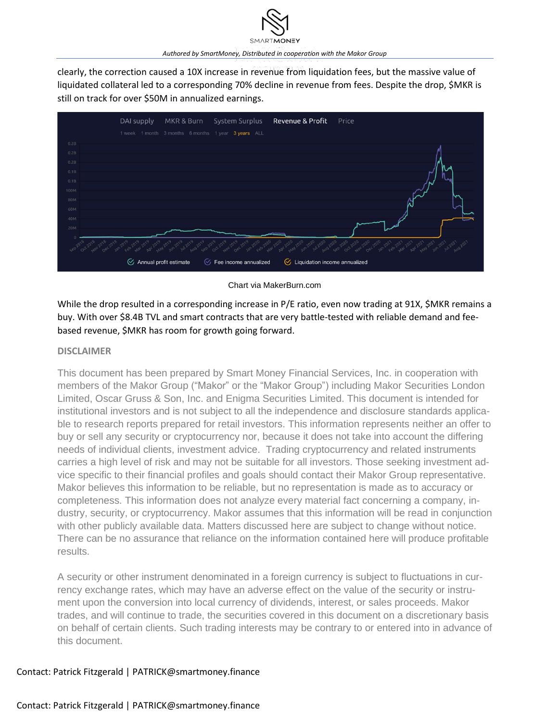clearly, the correction caused a 10X increase in revenue from liquidation fees, but the massive value of liquidated collateral led to a corresponding 70% decline in revenue from fees. Despite the drop, \$MKR is still on track for over \$50M in annualized earnings.



#### Chart via MakerBurn.com

While the drop resulted in a corresponding increase in P/E ratio, even now trading at 91X, \$MKR remains a buy. With over \$8.4B TVL and smart contracts that are very battle-tested with reliable demand and feebased revenue, \$MKR has room for growth going forward.

#### **DISCLAIMER**

This document has been prepared by Smart Money Financial Services, Inc. in cooperation with members of the Makor Group ("Makor" or the "Makor Group") including Makor Securities London Limited, Oscar Gruss & Son, Inc. and Enigma Securities Limited. This document is intended for institutional investors and is not subject to all the independence and disclosure standards applicable to research reports prepared for retail investors. This information represents neither an offer to buy or sell any security or cryptocurrency nor, because it does not take into account the differing needs of individual clients, investment advice. Trading cryptocurrency and related instruments carries a high level of risk and may not be suitable for all investors. Those seeking investment advice specific to their financial profiles and goals should contact their Makor Group representative. Makor believes this information to be reliable, but no representation is made as to accuracy or completeness. This information does not analyze every material fact concerning a company, industry, security, or cryptocurrency. Makor assumes that this information will be read in conjunction with other publicly available data. Matters discussed here are subject to change without notice. There can be no assurance that reliance on the information contained here will produce profitable results.

A security or other instrument denominated in a foreign currency is subject to fluctuations in currency exchange rates, which may have an adverse effect on the value of the security or instrument upon the conversion into local currency of dividends, interest, or sales proceeds. Makor trades, and will continue to trade, the securities covered in this document on a discretionary basis on behalf of certain clients. Such trading interests may be contrary to or entered into in advance of this document.